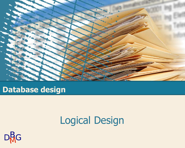

#### **Database design**

# Logical Design

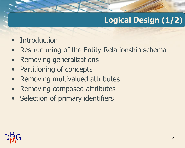## **Logical Design (1/2)**

- **Introduction**
- Restructuring of the Entity-Relationship schema
- Removing generalizations
- Partitioning of concepts
- Removing multivalued attributes
- Removing composed attributes
- Selection of primary identifiers

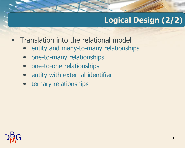### **Logical Design (2/2)**

- Translation into the relational model
	- entity and many-to-many relationships
	- one-to-many relationships
	- one-to-one relationships
	- entity with external identifier
	- ternary relationships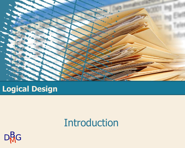

#### **Logical Design**

## **Introduction**

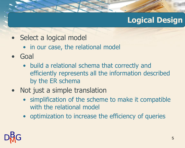#### **Logical Design**

- Select a logical model
	- in our case, the relational model
- Goal
	- build a relational schema that correctly and efficiently represents all the information described by the ER schema
- Not just a simple translation
	- simplification of the scheme to make it compatible with the relational model
	- optimization to increase the efficiency of queries

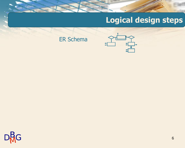### **Logical design steps**

#### ER Schema



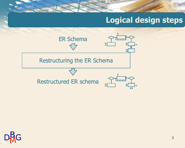### **Logical design steps**



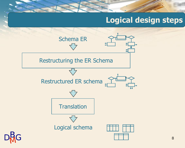#### **Logical design steps**

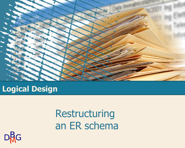

#### **Logical Design**

# Restructuring an ER schema

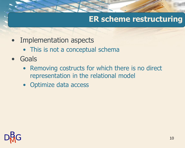#### **ER scheme restructuring**

- Implementation aspects
	- This is not a conceptual schema
- Goals
	- Removing costructs for which there is no direct representation in the relational model
	- Optimize data access

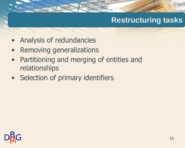#### **Restructuring tasks**

- Analysis of redundancies
- Removing generalizations
- Partitioning and merging of entities and relationships
- Selection of primary identifiers

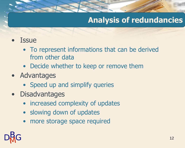#### **Analysis of redundancies**

- **Issue** 
	- To represent informations that can be derived from other data
	- Decide whether to keep or remove them
- Advantages
	- Speed up and simplify queries
- Disadvantages
	- increased complexity of updates
	- slowing down of updates
	- more storage space required

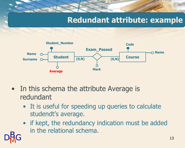#### **Redundant attribute: example**



- In this schema the attribute Average is redundant
	- It is useful for speeding up queries to calculate studendt's average.
	- if kept, the redundancy indication must be added in the relational schema.

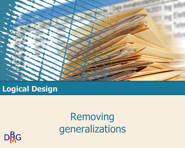

#### **Logical Design**

# Removing generalizations

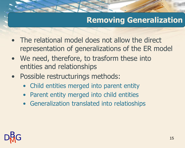### **Removing Generalization**

- The relational model does not allow the direct representation of generalizations of the ER model
- We need, therefore, to trasform these into entities and relationships
- Possible restructurings methods:
	- Child entities merged into parent entity
	- Parent entity merged into child entities
	- Generalization translated into relatioships

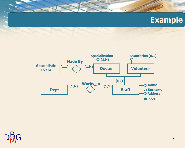#### **Example**





۸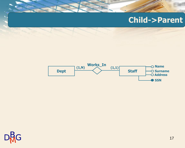#### **Child->Parent**



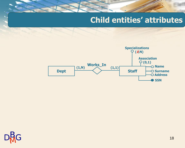#### **Child entities' attributes**



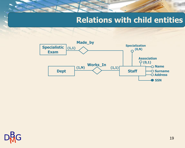#### **Relations with child entities**



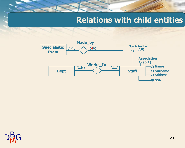#### **Relations with child entities**



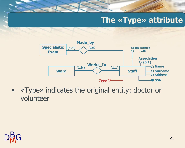#### **The «Type» attribute**



• «Type» indicates the original entity: doctor or volunteer

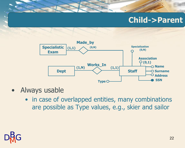#### **Child->Parent**



- Always usable
	- in case of overlapped entities, many combinations are possible as Type values, e.g., skier and sailor

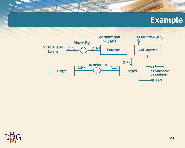#### **Example**





Ä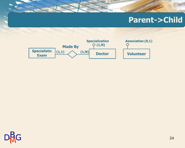#### **Parent->Child**



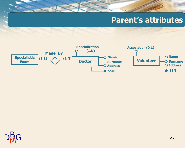#### **Parent's attributes**



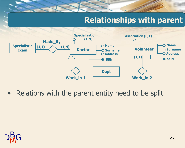#### **Relationships with parent**



• Relations with the parent entity need to be split

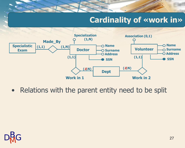### **Cardinality of «work in»**



• Relations with the parent entity need to be split

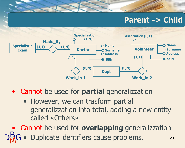#### **Parent -> Child**



- Cannot be used for **partial** generalizzation
	- However, we can trasform partial generalizzation into total, adding a new entity called «Others»

28 • Cannot be used for **overlapping** generalizzation • Duplicate identifiers cause problems.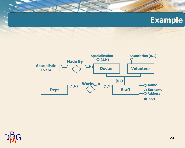#### **Example**





۸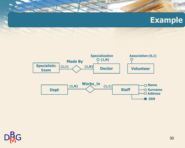#### **Example**





۸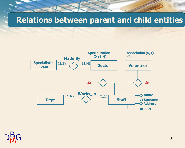#### **Relations between parent and child entities**



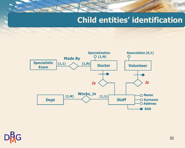#### **Child entities' identification**



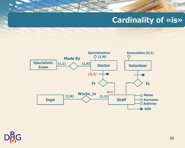#### **Cardinality of «is»**



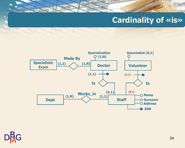#### **Cardinality of «is»**





۸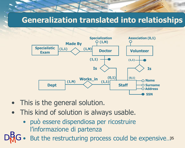#### **Generalization translated into relatioships**



- This is the general solution.
- This kind of solution is always usable.
	- può essere dispendiosa per ricostruire l'informazione di partenza
- But the restructuring process could be expensive..35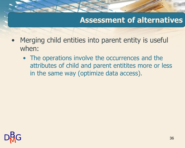- Merging child entities into parent entity is useful when:
	- The operations involve the occurrences and the attributes of child and parent entitites more or less in the same way (optimize data access).

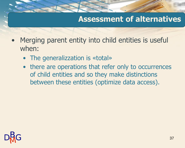- Merging parent entity into child entities is useful when:
	- The generalizzation is «total»
	- there are operations that refer only to occurrences of child entities and so they make distinctions between these entities (optimize data access).

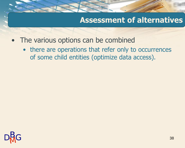- The various options can be combined
	- there are operations that refer only to occurrences of some child entities (optimize data access).

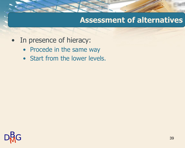- In presence of hieracy:
	- Procede in the same way
	- Start from the lower levels.

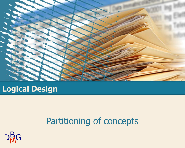

#### **Logical Design**

## Partitioning of concepts

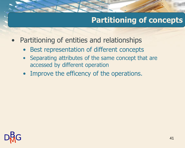#### **Partitioning of concepts**

- Partitioning of entities and relationships
	- Best representation of different concepts
	- Separating attributes of the same concept that are accessed by different operation
	- Improve the efficency of the operations.

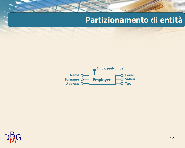#### **Partizionamento di entità**



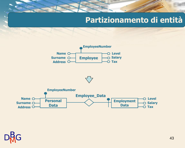#### **Partizionamento di entità**







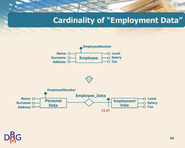#### **Cardinality of "Employment Data"**







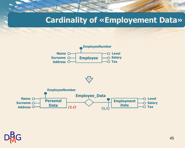#### **Cardinality of «Employement Data»**







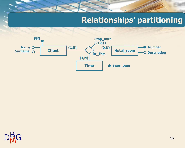#### **Relationships' partitioning**



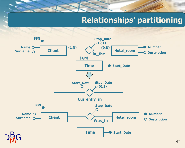#### **Relationships' partitioning**

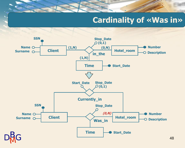#### **Cardinality of «Was in»**



48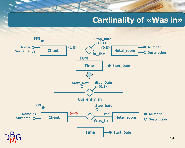#### **Cardinality of «Was in»**



49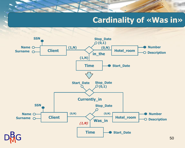#### **Cardinality of «Was in»**

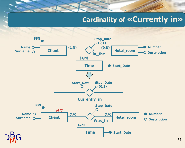#### **Cardinality of «Currently in»**

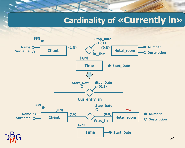### **Cardinality of «Currently in»**



52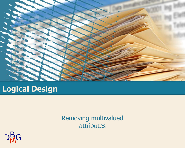

#### **Logical Design**

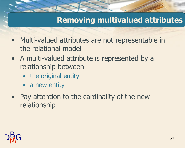- Multi-valued attributes are not representable in the relational model
- A multi-valued attribute is represented by a relationship between
	- the original entity
	- a new entity
- Pay attention to the cardinality of the new relationship

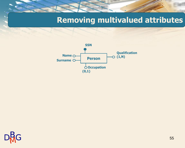

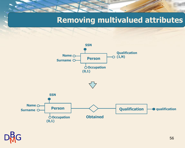

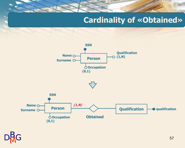#### **Cardinality of «Obtained»**

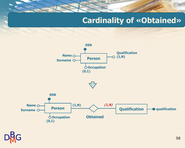#### **Cardinality of «Obtained»**

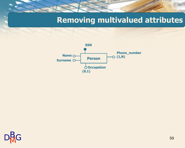

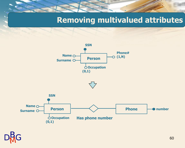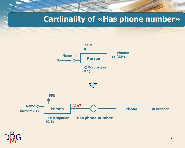**Cardinality of «Has phone number»**





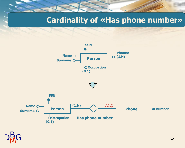**Cardinality of «Has phone number»**

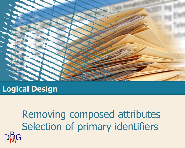

**Logical Design**

Removing composed attributes Selection of primary identifiers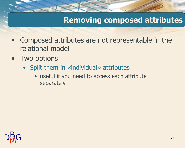#### **Removing composed attributes**

- Composed attributes are not representable in the relational model
- Two options
	- Split them in «individual» attributes
		- useful if you need to access each attribute separately

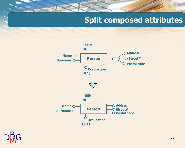#### **Split composed attributes**



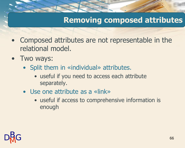#### **Removing composed attributes**

- Composed attributes are not representable in the relational model.
- Two ways:
	- Split them in «individual» attributes.
		- useful if you need to access each attribute separately.
	- Use one attribute as a «link»
		- useful if access to comprehensive information is enough

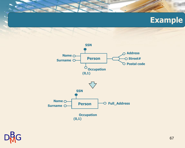#### **Example**